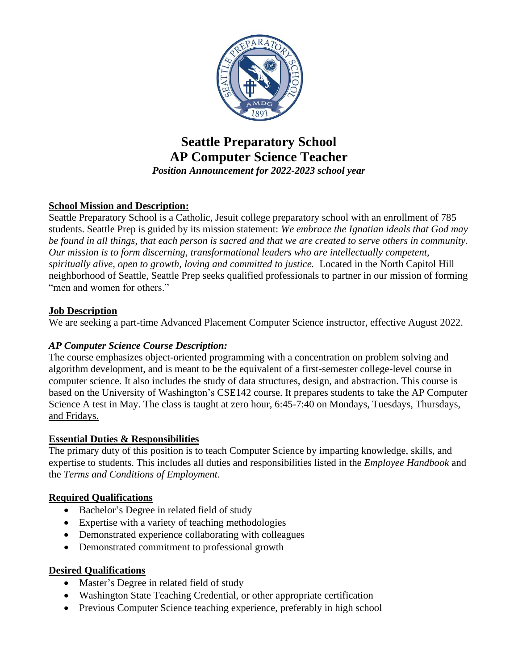

# **Seattle Preparatory School AP Computer Science Teacher** *Position Announcement for 2022-2023 school year*

# **School Mission and Description:**

Seattle Preparatory School is a Catholic, Jesuit college preparatory school with an enrollment of 785 students. Seattle Prep is guided by its mission statement: *We embrace the Ignatian ideals that God may be found in all things, that each person is sacred and that we are created to serve others in community. Our mission is to form discerning, transformational leaders who are intellectually competent, spiritually alive, open to growth, loving and committed to justice.* Located in the North Capitol Hill neighborhood of Seattle, Seattle Prep seeks qualified professionals to partner in our mission of forming "men and women for others."

#### **Job Description**

We are seeking a part-time Advanced Placement Computer Science instructor, effective August 2022.

# *AP Computer Science Course Description:*

The course emphasizes object-oriented programming with a concentration on problem solving and algorithm development, and is meant to be the equivalent of a first-semester college-level course in computer science. It also includes the study of data structures, design, and abstraction. This course is based on the University of Washington's CSE142 course. It prepares students to take the AP Computer Science A test in May. The class is taught at zero hour, 6:45-7:40 on Mondays, Tuesdays, Thursdays, and Fridays.

# **Essential Duties & Responsibilities**

The primary duty of this position is to teach Computer Science by imparting knowledge, skills, and expertise to students. This includes all duties and responsibilities listed in the *Employee Handbook* and the *Terms and Conditions of Employment*.

# **Required Qualifications**

- Bachelor's Degree in related field of study
- Expertise with a variety of teaching methodologies
- Demonstrated experience collaborating with colleagues
- Demonstrated commitment to professional growth

#### **Desired Qualifications**

- Master's Degree in related field of study
- Washington State Teaching Credential, or other appropriate certification
- Previous Computer Science teaching experience, preferably in high school